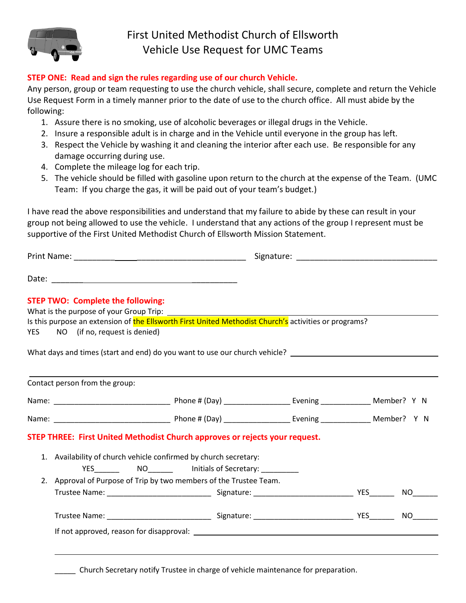

## **STEP ONE: Read and sign the rules regarding use of our church Vehicle.**

Any person, group or team requesting to use the church vehicle, shall secure, complete and return the Vehicle Use Request Form in a timely manner prior to the date of use to the church office. All must abide by the following:

- 1. Assure there is no smoking, use of alcoholic beverages or illegal drugs in the Vehicle.
- 2. Insure a responsible adult is in charge and in the Vehicle until everyone in the group has left.
- 3. Respect the Vehicle by washing it and cleaning the interior after each use. Be responsible for any damage occurring during use.
- 4. Complete the mileage log for each trip.
- 5. The vehicle should be filled with gasoline upon return to the church at the expense of the Team. (UMC Team: If you charge the gas, it will be paid out of your team's budget.)

I have read the above responsibilities and understand that my failure to abide by these can result in your group not being allowed to use the vehicle. I understand that any actions of the group I represent must be supportive of the First United Methodist Church of Ellsworth Mission Statement.

Print Name: \_\_\_\_\_\_\_\_\_ \_\_\_\_\_\_\_\_\_\_\_\_\_\_\_\_\_\_\_\_\_\_\_\_ Signature: \_\_\_\_\_\_\_\_\_\_\_\_\_\_\_\_\_\_\_\_\_\_\_\_\_\_\_\_\_\_\_

Date: \_\_\_\_\_\_\_ \_\_\_\_\_\_\_\_\_\_

## **STEP TWO: Complete the following:**

What is the purpose of your Group Trip:

Is this purpose an extension of the Ellsworth First United Methodist Church's activities or programs? YES NO (if no, request is denied)

What days and times (start and end) do you want to use our church vehicle?

|  | Contact person from the group:                                     |  |                                                                             |  |  |      |  |  |
|--|--------------------------------------------------------------------|--|-----------------------------------------------------------------------------|--|--|------|--|--|
|  |                                                                    |  |                                                                             |  |  |      |  |  |
|  |                                                                    |  |                                                                             |  |  |      |  |  |
|  |                                                                    |  | STEP THREE: First United Methodist Church approves or rejects your request. |  |  |      |  |  |
|  | 1. Availability of church vehicle confirmed by church secretary:   |  |                                                                             |  |  |      |  |  |
|  |                                                                    |  | YES NO Initials of Secretary:                                               |  |  |      |  |  |
|  | 2. Approval of Purpose of Trip by two members of the Trustee Team. |  |                                                                             |  |  |      |  |  |
|  |                                                                    |  |                                                                             |  |  | NO.  |  |  |
|  |                                                                    |  |                                                                             |  |  | NO . |  |  |
|  |                                                                    |  |                                                                             |  |  |      |  |  |

\_\_\_\_\_ Church Secretary notify Trustee in charge of vehicle maintenance for preparation.